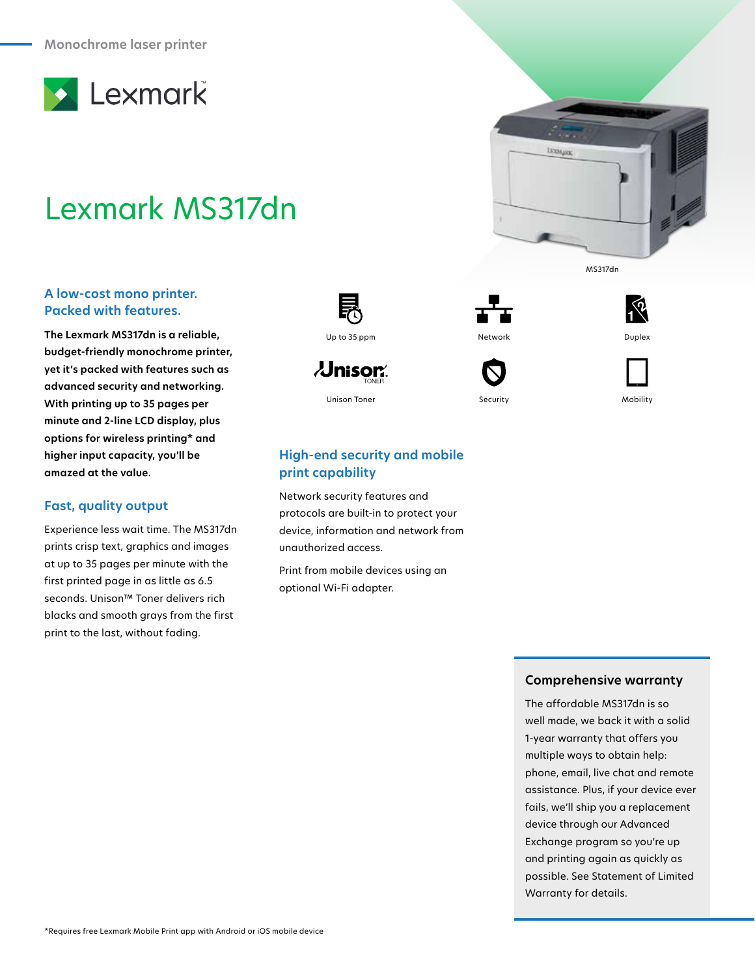

# Lexmark MS317dn

## **A low-cost mono printer. Packed with features.**

**The Lexmark MS317dn is a reliable, budget-friendly monochrome printer, yet it's packed with features such as advanced security and networking. With printing up to 35 pages per minute and 2-line LCD display, plus options for wireless printing\* and higher input capacity, you'll be amazed at the value.**

## **Fast, quality output**

Experience less wait time. The MS317dn prints crisp text, graphics and images at up to 35 pages per minute with the first printed page in as little as 6.5 seconds. Unison™ Toner delivers rich blacks and smooth grays from the first print to the last, without fading.



 $\lambda$ Jnisor $\hat{}$ 





MS317dn

**LEONARD** 



Unison Toner Security Mobility

# **High-end security and mobile print capability**

Network security features and protocols are built-in to protect your device, information and network from unauthorized access.

Print from mobile devices using an optional Wi-Fi adapter.

#### **Comprehensive warranty**

The affordable MS317dn is so well made, we back it with a solid 1-year warranty that offers you multiple ways to obtain help: phone, email, live chat and remote assistance. Plus, if your device ever fails, we'll ship you a replacement device through our Advanced Exchange program so you're up and printing again as quickly as possible. See Statement of Limited Warranty for details.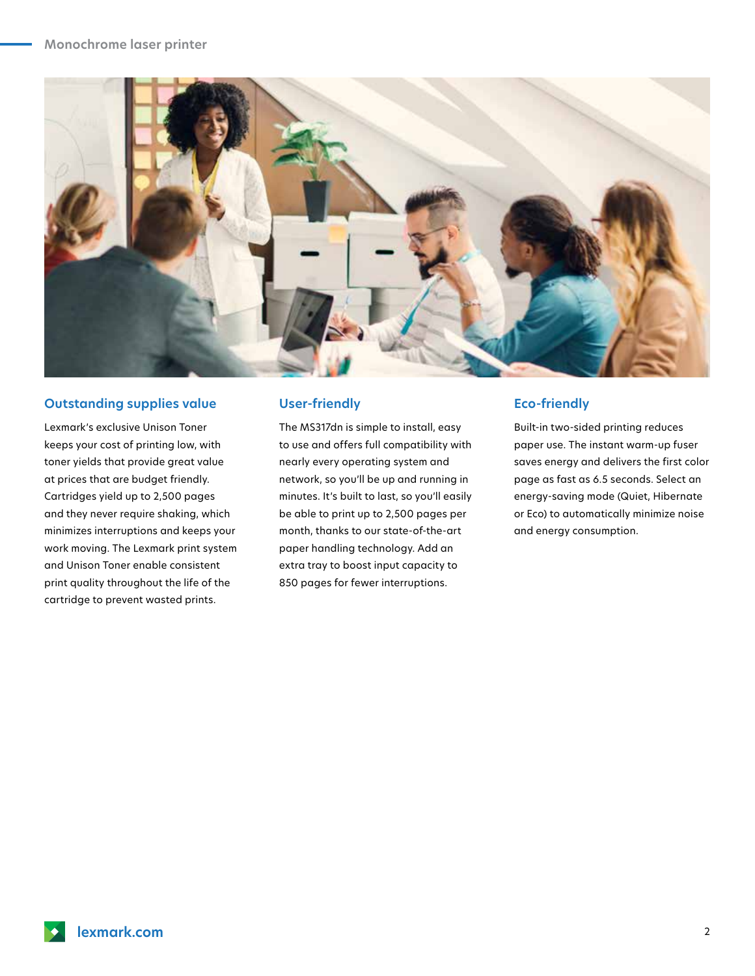

#### **Outstanding supplies value**

Lexmark's exclusive Unison Toner keeps your cost of printing low, with toner yields that provide great value at prices that are budget friendly. Cartridges yield up to 2,500 pages and they never require shaking, which minimizes interruptions and keeps your work moving. The Lexmark print system and Unison Toner enable consistent print quality throughout the life of the cartridge to prevent wasted prints.

#### **User-friendly**

The MS317dn is simple to install, easy to use and offers full compatibility with nearly every operating system and network, so you'll be up and running in minutes. It's built to last, so you'll easily be able to print up to 2,500 pages per month, thanks to our state-of-the-art paper handling technology. Add an extra tray to boost input capacity to 850 pages for fewer interruptions.

#### **Eco-friendly**

Built-in two-sided printing reduces paper use. The instant warm-up fuser saves energy and delivers the first color page as fast as 6.5 seconds. Select an energy-saving mode (Quiet, Hibernate or Eco) to automatically minimize noise and energy consumption.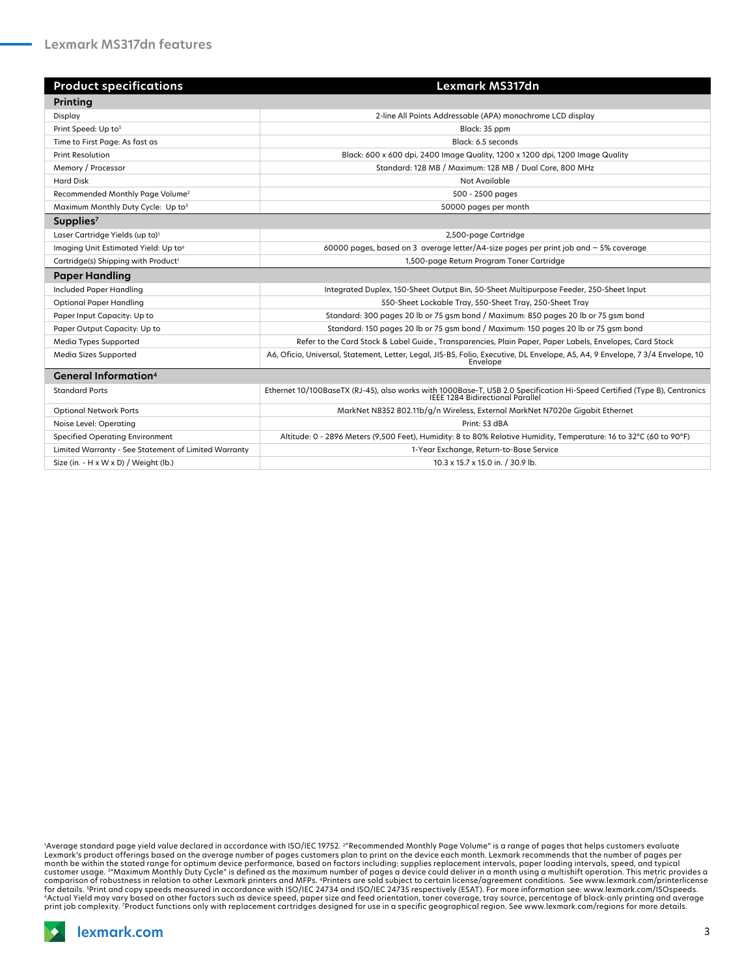| <b>Product specifications</b>                        | Lexmark MS317dn                                                                                                                                              |
|------------------------------------------------------|--------------------------------------------------------------------------------------------------------------------------------------------------------------|
| Printing                                             |                                                                                                                                                              |
| Display                                              | 2-line All Points Addressable (APA) monochrome LCD display                                                                                                   |
| Print Speed: Up to <sup>5</sup>                      | Black: 35 ppm                                                                                                                                                |
| Time to First Page: As fast as                       | Black: 6.5 seconds                                                                                                                                           |
| <b>Print Resolution</b>                              | Black: 600 x 600 dpi, 2400 Image Quality, 1200 x 1200 dpi, 1200 Image Quality                                                                                |
| Memory / Processor                                   | Standard: 128 MB / Maximum: 128 MB / Dual Core, 800 MHz                                                                                                      |
| <b>Hard Disk</b>                                     | Not Available                                                                                                                                                |
| Recommended Monthly Page Volume <sup>2</sup>         | 500 - 2500 pages                                                                                                                                             |
| Maximum Monthly Duty Cycle: Up to3                   | 50000 pages per month                                                                                                                                        |
| Supplies <sup>7</sup>                                |                                                                                                                                                              |
| Laser Cartridge Yields (up to) <sup>1</sup>          | 2,500-page Cartridge                                                                                                                                         |
| Imaging Unit Estimated Yield: Up to <sup>6</sup>     | 60000 pages, based on 3 average letter/A4-size pages per print job and $\sim$ 5% coverage                                                                    |
| Cartridge(s) Shipping with Product <sup>1</sup>      | 1,500-page Return Program Toner Cartridge                                                                                                                    |
| <b>Paper Handling</b>                                |                                                                                                                                                              |
| Included Paper Handling                              | Integrated Duplex, 150-Sheet Output Bin, 50-Sheet Multipurpose Feeder, 250-Sheet Input                                                                       |
| <b>Optional Paper Handling</b>                       | 550-Sheet Lockable Tray, 550-Sheet Tray, 250-Sheet Tray                                                                                                      |
| Paper Input Capacity: Up to                          | Standard: 300 pages 20 lb or 75 gsm bond / Maximum: 850 pages 20 lb or 75 gsm bond                                                                           |
| Paper Output Capacity: Up to                         | Standard: 150 pages 20 lb or 75 gsm bond / Maximum: 150 pages 20 lb or 75 gsm bond                                                                           |
| Media Types Supported                                | Refer to the Card Stock & Label Guide., Transparencies, Plain Paper, Paper Labels, Envelopes, Card Stock                                                     |
| Media Sizes Supported                                | A6, Oficio, Universal, Statement, Letter, Legal, JIS-B5, Folio, Executive, DL Envelope, A5, A4, 9 Envelope, 7 3/4 Envelope, 10<br>Envelope                   |
| <b>General Information</b> <sup>4</sup>              |                                                                                                                                                              |
| <b>Standard Ports</b>                                | Ethernet 10/100BaseTX (RJ-45), also works with 1000Base-T, USB 2.0 Specification Hi-Speed Certified (Type B), Centronics<br>IEEE 1284 Bidirectional Parallel |
| <b>Optional Network Ports</b>                        | MarkNet N8352 802.11b/g/n Wireless, External MarkNet N7020e Gigabit Ethernet                                                                                 |
| Noise Level: Operating                               | Print: 53 dBA                                                                                                                                                |
| <b>Specified Operating Environment</b>               | Altitude: 0 - 2896 Meters (9,500 Feet), Humidity: 8 to 80% Relative Humidity, Temperature: 16 to 32°C (60 to 90°F)                                           |
| Limited Warranty - See Statement of Limited Warranty | 1-Year Exchange, Return-to-Base Service                                                                                                                      |
| Size (in. - H x W x D) / Weight (lb.)                | 10.3 x 15.7 x 15.0 in. / 30.9 lb.                                                                                                                            |

'Average standard page yield value declared in accordance with ISO/IEC 19752. <sup>2</sup>"Recommended Monthly Page Volume" is a range of pages that helps customers evaluate<br>Lexmark's product offerings based on the average number o